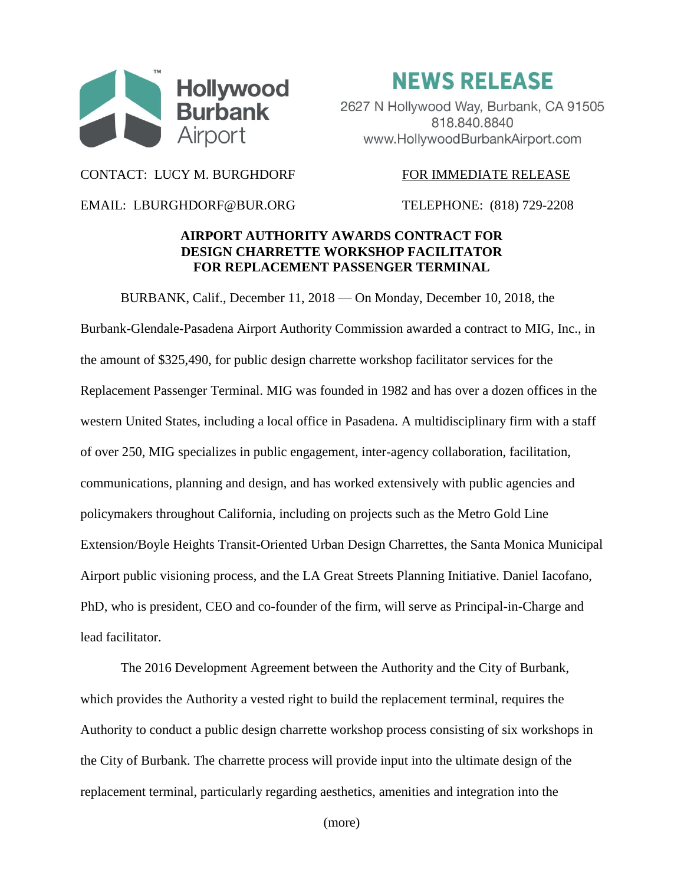

**NEWS RELEASE** 

2627 N Hollywood Way, Burbank, CA 91505 818.840.8840 www.HollywoodBurbankAirport.com

CONTACT: LUCY M. BURGHDORF FOR IMMEDIATE RELEASE

EMAIL: LBURGHDORF@BUR.ORG TELEPHONE: (818) 729-2208

## **AIRPORT AUTHORITY AWARDS CONTRACT FOR DESIGN CHARRETTE WORKSHOP FACILITATOR FOR REPLACEMENT PASSENGER TERMINAL**

BURBANK, Calif., December 11, 2018 — On Monday, December 10, 2018, the Burbank-Glendale-Pasadena Airport Authority Commission awarded a contract to MIG, Inc., in the amount of \$325,490, for public design charrette workshop facilitator services for the Replacement Passenger Terminal. MIG was founded in 1982 and has over a dozen offices in the western United States, including a local office in Pasadena. A multidisciplinary firm with a staff of over 250, MIG specializes in public engagement, inter-agency collaboration, facilitation, communications, planning and design, and has worked extensively with public agencies and policymakers throughout California, including on projects such as the Metro Gold Line Extension/Boyle Heights Transit-Oriented Urban Design Charrettes, the Santa Monica Municipal Airport public visioning process, and the LA Great Streets Planning Initiative. Daniel Iacofano, PhD, who is president, CEO and co-founder of the firm, will serve as Principal-in-Charge and lead facilitator.

The 2016 Development Agreement between the Authority and the City of Burbank, which provides the Authority a vested right to build the replacement terminal, requires the Authority to conduct a public design charrette workshop process consisting of six workshops in the City of Burbank. The charrette process will provide input into the ultimate design of the replacement terminal, particularly regarding aesthetics, amenities and integration into the

(more)